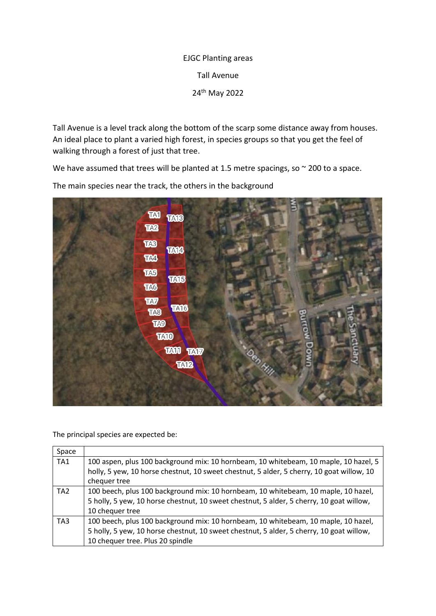## EJGC Planting areas Tall Avenue 24th May 2022

Tall Avenue is a level track along the bottom of the scarp some distance away from houses. An ideal place to plant a varied high forest, in species groups so that you get the feel of walking through a forest of just that tree.

We have assumed that trees will be planted at 1.5 metre spacings, so  $\sim$  200 to a space.

**TAI TA13** TA2 **TAB** TAM4 TAS TA5 **TA15 TAG TAT TA16 TA8** TAO **TA10 TAN TATZ TA12** 

The main species near the track, the others in the background

The principal species are expected be:

| Space           |                                                                                           |
|-----------------|-------------------------------------------------------------------------------------------|
| TA <sub>1</sub> | 100 aspen, plus 100 background mix: 10 hornbeam, 10 whitebeam, 10 maple, 10 hazel, 5      |
|                 | holly, 5 yew, 10 horse chestnut, 10 sweet chestnut, 5 alder, 5 cherry, 10 goat willow, 10 |
|                 | chequer tree                                                                              |
| TA <sub>2</sub> | 100 beech, plus 100 background mix: 10 hornbeam, 10 whitebeam, 10 maple, 10 hazel,        |
|                 | 5 holly, 5 yew, 10 horse chestnut, 10 sweet chestnut, 5 alder, 5 cherry, 10 goat willow,  |
|                 | 10 chequer tree                                                                           |
| TA <sub>3</sub> | 100 beech, plus 100 background mix: 10 hornbeam, 10 whitebeam, 10 maple, 10 hazel,        |
|                 | 5 holly, 5 yew, 10 horse chestnut, 10 sweet chestnut, 5 alder, 5 cherry, 10 goat willow,  |
|                 | 10 chequer tree. Plus 20 spindle                                                          |